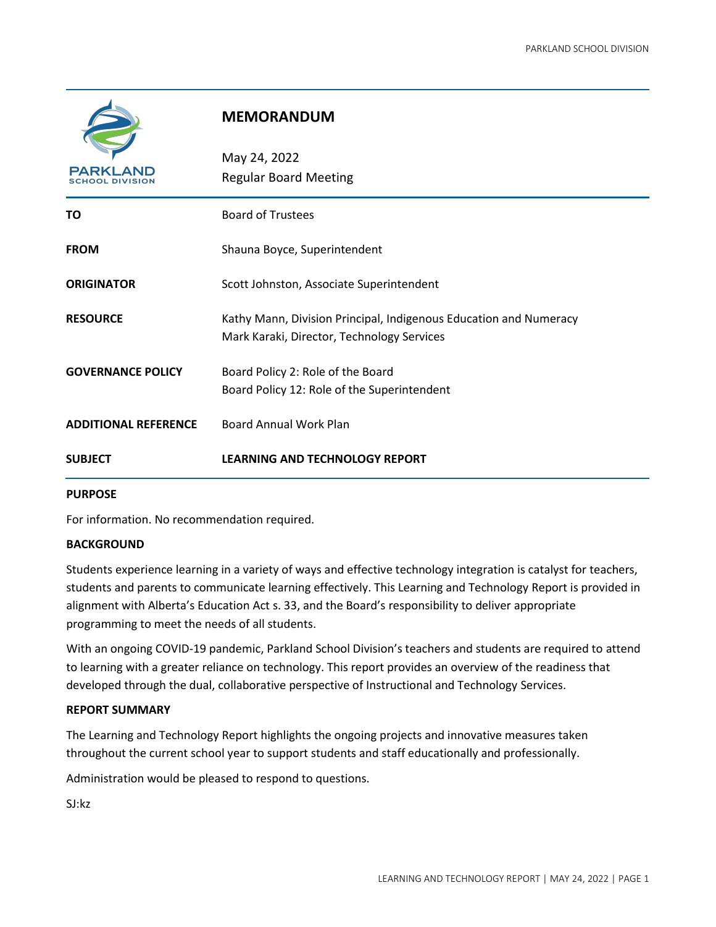

# **MEMORANDUM**

| <b>PARKLAND</b><br><b>SCHOOL DIVISION</b> | May 24, 2022<br><b>Regular Board Meeting</b>                                                                    |  |
|-------------------------------------------|-----------------------------------------------------------------------------------------------------------------|--|
| ΤO                                        | <b>Board of Trustees</b>                                                                                        |  |
| <b>FROM</b>                               | Shauna Boyce, Superintendent                                                                                    |  |
| <b>ORIGINATOR</b>                         | Scott Johnston, Associate Superintendent                                                                        |  |
| <b>RESOURCE</b>                           | Kathy Mann, Division Principal, Indigenous Education and Numeracy<br>Mark Karaki, Director, Technology Services |  |
| <b>GOVERNANCE POLICY</b>                  | Board Policy 2: Role of the Board<br>Board Policy 12: Role of the Superintendent                                |  |
| <b>ADDITIONAL REFERENCE</b>               | <b>Board Annual Work Plan</b>                                                                                   |  |
| <b>SUBJECT</b>                            | <b>LEARNING AND TECHNOLOGY REPORT</b>                                                                           |  |

#### **PURPOSE**

For information. No recommendation required.

#### **BACKGROUND**

Students experience learning in a variety of ways and effective technology integration is catalyst for teachers, students and parents to communicate learning effectively. This Learning and Technology Report is provided in alignment with Alberta's Education Act s. 33, and the Board's responsibility to deliver appropriate programming to meet the needs of all students.

With an ongoing COVID-19 pandemic, Parkland School Division's teachers and students are required to attend to learning with a greater reliance on technology. This report provides an overview of the readiness that developed through the dual, collaborative perspective of Instructional and Technology Services.

#### **REPORT SUMMARY**

The Learning and Technology Report highlights the ongoing projects and innovative measures taken throughout the current school year to support students and staff educationally and professionally.

Administration would be pleased to respond to questions.

SJ:kz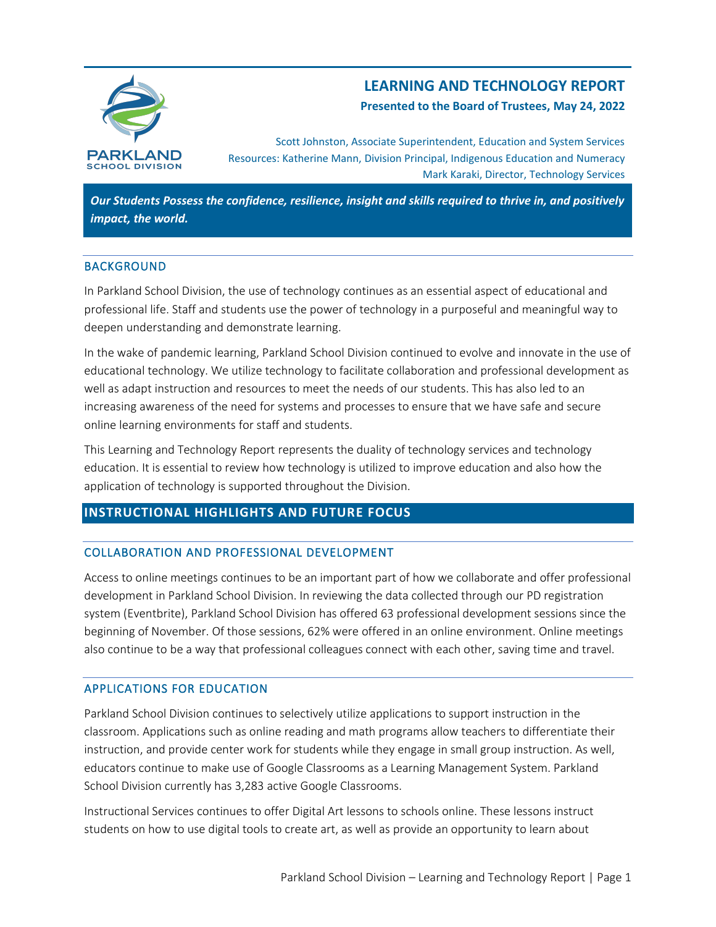

# **LEARNING AND TECHNOLOGY REPORT**

**Presented to the Board of Trustees, May 24, 2022**

Scott Johnston, Associate Superintendent, Education and System Services Resources: Katherine Mann, Division Principal, Indigenous Education and Numeracy Mark Karaki, Director, Technology Services

*Our Students Possess the confidence, resilience, insight and skills required to thrive in, and positively impact, the world.*

## BACKGROUND

In Parkland School Division, the use of technology continues as an essential aspect of educational and professional life. Staff and students use the power of technology in a purposeful and meaningful way to deepen understanding and demonstrate learning.

In the wake of pandemic learning, Parkland School Division continued to evolve and innovate in the use of educational technology. We utilize technology to facilitate collaboration and professional development as well as adapt instruction and resources to meet the needs of our students. This has also led to an increasing awareness of the need for systems and processes to ensure that we have safe and secure online learning environments for staff and students.

This Learning and Technology Report represents the duality of technology services and technology education. It is essential to review how technology is utilized to improve education and also how the application of technology is supported throughout the Division.

## **INSTRUCTIONAL HIGHLIGHTS AND FUTURE FOCUS**

## COLLABORATION AND PROFESSIONAL DEVELOPMENT

Access to online meetings continues to be an important part of how we collaborate and offer professional development in Parkland School Division. In reviewing the data collected through our PD registration system (Eventbrite), Parkland School Division has offered 63 professional development sessions since the beginning of November. Of those sessions, 62% were offered in an online environment. Online meetings also continue to be a way that professional colleagues connect with each other, saving time and travel.

## APPLICATIONS FOR EDUCATION

Parkland School Division continues to selectively utilize applications to support instruction in the classroom. Applications such as online reading and math programs allow teachers to differentiate their instruction, and provide center work for students while they engage in small group instruction. As well, educators continue to make use of Google Classrooms as a Learning Management System. Parkland School Division currently has 3,283 active Google Classrooms.

Instructional Services continues to offer Digital Art lessons to schools online. These lessons instruct students on how to use digital tools to create art, as well as provide an opportunity to learn about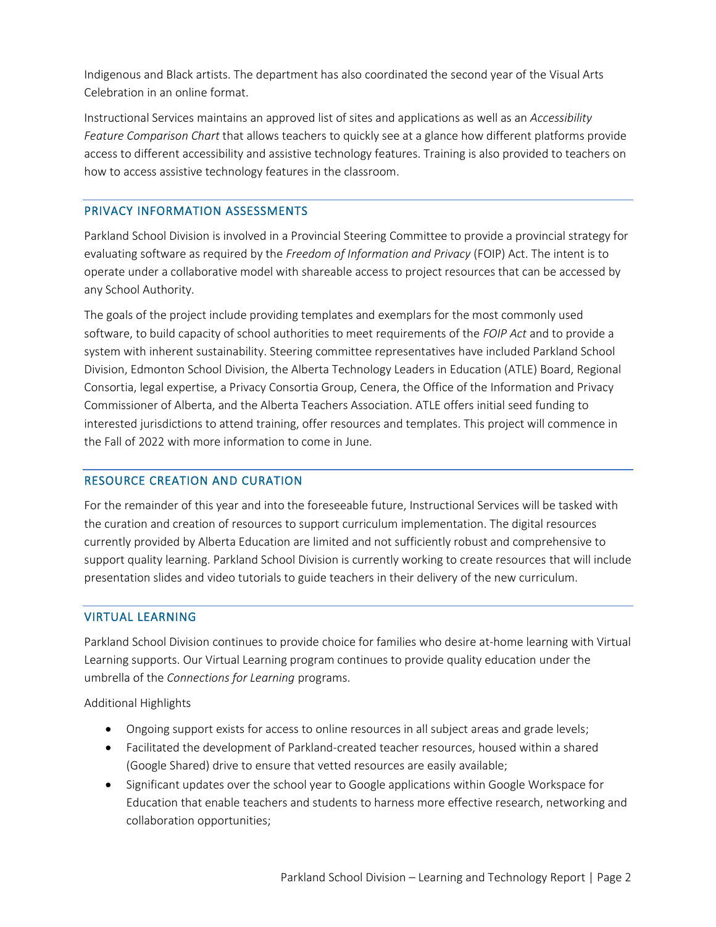Indigenous and Black artists. The department has also coordinated the second year of the Visual Arts Celebration in an online format.

Instructional Services maintains an approved list of sites and applications as well as an *Accessibility Feature Comparison Chart* that allows teachers to quickly see at a glance how different platforms provide access to different accessibility and assistive technology features. Training is also provided to teachers on how to access assistive technology features in the classroom.

## PRIVACY INFORMATION ASSESSMENTS

Parkland School Division is involved in a Provincial Steering Committee to provide a provincial strategy for evaluating software as required by the *Freedom of Information and Privacy* (FOIP) Act. The intent is to operate under a collaborative model with shareable access to project resources that can be accessed by any School Authority.

The goals of the project include providing templates and exemplars for the most commonly used software, to build capacity of school authorities to meet requirements of the *FOIP Act* and to provide a system with inherent sustainability. Steering committee representatives have included Parkland School Division, Edmonton School Division, the Alberta Technology Leaders in Education (ATLE) Board, Regional Consortia, legal expertise, a Privacy Consortia Group, Cenera, the Office of the Information and Privacy Commissioner of Alberta, and the Alberta Teachers Association. ATLE offers initial seed funding to interested jurisdictions to attend training, offer resources and templates. This project will commence in the Fall of 2022 with more information to come in June.

## RESOURCE CREATION AND CURATION

For the remainder of this year and into the foreseeable future, Instructional Services will be tasked with the curation and creation of resources to support curriculum implementation. The digital resources currently provided by Alberta Education are limited and not sufficiently robust and comprehensive to support quality learning. Parkland School Division is currently working to create resources that will include presentation slides and video tutorials to guide teachers in their delivery of the new curriculum.

## VIRTUAL LEARNING

Parkland School Division continues to provide choice for families who desire at-home learning with Virtual Learning supports. Our Virtual Learning program continues to provide quality education under the umbrella of the *Connections for Learning* programs.

Additional Highlights

- Ongoing support exists for access to online resources in all subject areas and grade levels;
- Facilitated the development of Parkland-created teacher resources, housed within a shared (Google Shared) drive to ensure that vetted resources are easily available;
- Significant updates over the school year to Google applications within Google Workspace for Education that enable teachers and students to harness more effective research, networking and collaboration opportunities;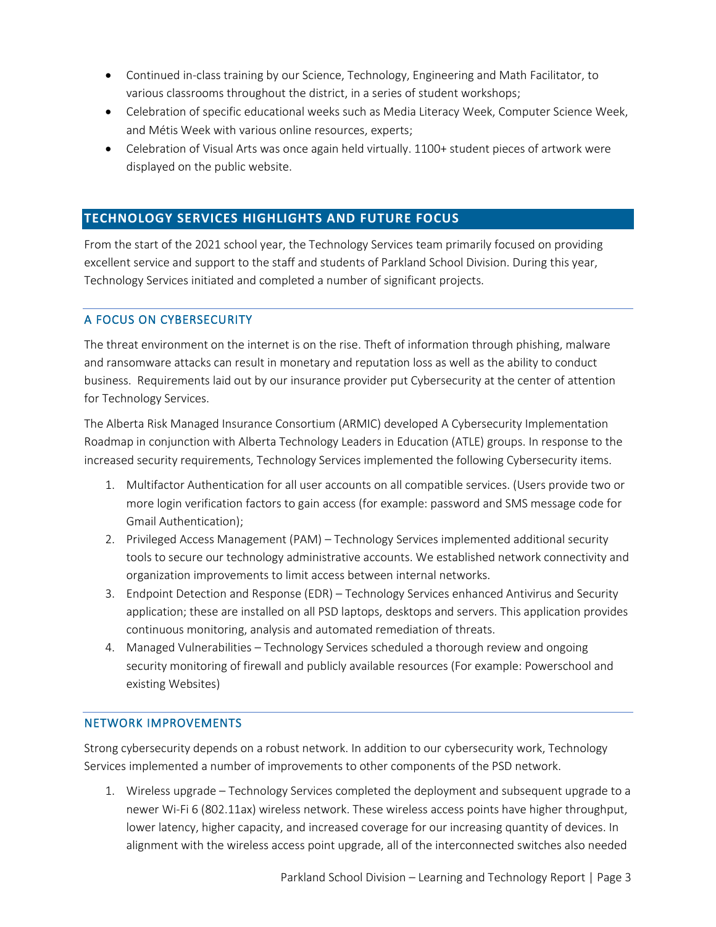- Continued in-class training by our Science, Technology, Engineering and Math Facilitator, to various classrooms throughout the district, in a series of student workshops;
- Celebration of specific educational weeks such as Media Literacy Week, Computer Science Week, and Métis Week with various online resources, experts;
- Celebration of Visual Arts was once again held virtually. 1100+ student pieces of artwork were displayed on the public website.

# **TECHNOLOGY SERVICES HIGHLIGHTS AND FUTURE FOCUS**

From the start of the 2021 school year, the Technology Services team primarily focused on providing excellent service and support to the staff and students of Parkland School Division. During this year, Technology Services initiated and completed a number of significant projects.

## A FOCUS ON CYBERSECURITY

The threat environment on the internet is on the rise. Theft of information through phishing, malware and ransomware attacks can result in monetary and reputation loss as well as the ability to conduct business. Requirements laid out by our insurance provider put Cybersecurity at the center of attention for Technology Services.

The Alberta Risk Managed Insurance Consortium (ARMIC) developed A Cybersecurity Implementation Roadmap in conjunction with Alberta Technology Leaders in Education (ATLE) groups. In response to the increased security requirements, Technology Services implemented the following Cybersecurity items.

- 1. Multifactor Authentication for all user accounts on all compatible services. (Users provide two or more login verification factors to gain access (for example: password and SMS message code for Gmail Authentication);
- 2. Privileged Access Management (PAM) Technology Services implemented additional security tools to secure our technology administrative accounts. We established network connectivity and organization improvements to limit access between internal networks.
- 3. Endpoint Detection and Response (EDR) Technology Services enhanced Antivirus and Security application; these are installed on all PSD laptops, desktops and servers. This application provides continuous monitoring, analysis and automated remediation of threats.
- 4. Managed Vulnerabilities Technology Services scheduled a thorough review and ongoing security monitoring of firewall and publicly available resources (For example: Powerschool and existing Websites)

## NETWORK IMPROVEMENTS

Strong cybersecurity depends on a robust network. In addition to our cybersecurity work, Technology Services implemented a number of improvements to other components of the PSD network.

1. Wireless upgrade – Technology Services completed the deployment and subsequent upgrade to a newer Wi-Fi 6 (802.11ax) wireless network. These wireless access points have higher throughput, lower latency, higher capacity, and increased coverage for our increasing quantity of devices. In alignment with the wireless access point upgrade, all of the interconnected switches also needed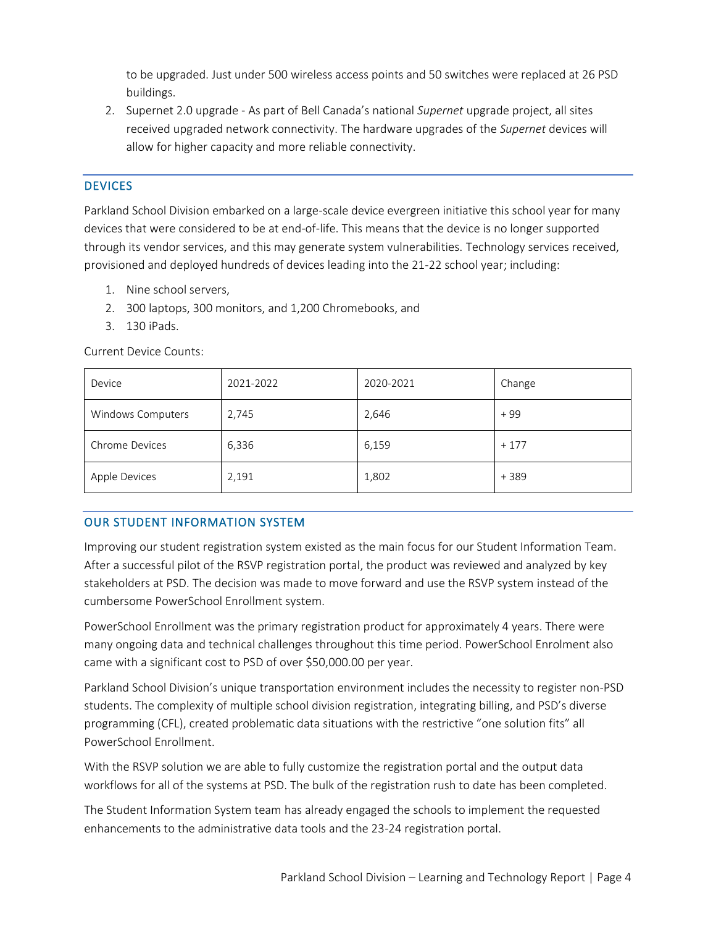to be upgraded. Just under 500 wireless access points and 50 switches were replaced at 26 PSD buildings.

2. Supernet 2.0 upgrade - As part of Bell Canada's national *Supernet* upgrade project, all sites received upgraded network connectivity. The hardware upgrades of the *Supernet* devices will allow for higher capacity and more reliable connectivity.

## **DEVICES**

Parkland School Division embarked on a large-scale device evergreen initiative this school year for many devices that were considered to be at end-of-life. This means that the device is no longer supported through its vendor services, and this may generate system vulnerabilities. Technology services received, provisioned and deployed hundreds of devices leading into the 21-22 school year; including:

- 1. Nine school servers,
- 2. 300 laptops, 300 monitors, and 1,200 Chromebooks, and
- 3. 130 iPads.

Current Device Counts:

| Device            | 2021-2022 | 2020-2021 | Change |
|-------------------|-----------|-----------|--------|
| Windows Computers | 2,745     | 2,646     | $+99$  |
| Chrome Devices    | 6,336     | 6,159     | $+177$ |
| Apple Devices     | 2,191     | 1,802     | $+389$ |

## OUR STUDENT INFORMATION SYSTEM

Improving our student registration system existed as the main focus for our Student Information Team. After a successful pilot of the RSVP registration portal, the product was reviewed and analyzed by key stakeholders at PSD. The decision was made to move forward and use the RSVP system instead of the cumbersome PowerSchool Enrollment system.

PowerSchool Enrollment was the primary registration product for approximately 4 years. There were many ongoing data and technical challenges throughout this time period. PowerSchool Enrolment also came with a significant cost to PSD of over \$50,000.00 per year.

Parkland School Division's unique transportation environment includes the necessity to register non-PSD students. The complexity of multiple school division registration, integrating billing, and PSD's diverse programming (CFL), created problematic data situations with the restrictive "one solution fits" all PowerSchool Enrollment.

With the RSVP solution we are able to fully customize the registration portal and the output data workflows for all of the systems at PSD. The bulk of the registration rush to date has been completed.

The Student Information System team has already engaged the schools to implement the requested enhancements to the administrative data tools and the 23-24 registration portal.